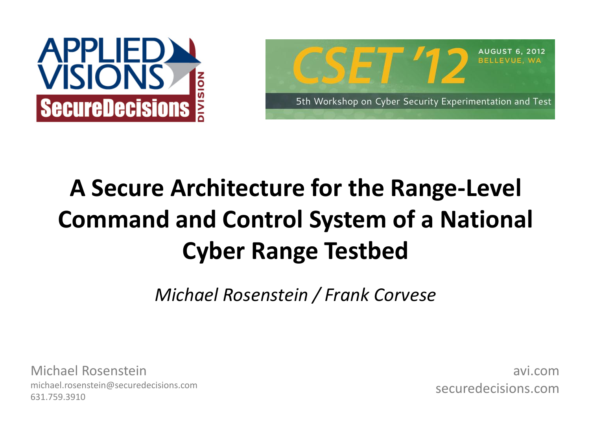



# **A Secure Architecture for the Range-Level Command and Control System of a National Cyber Range Testbed**

*Michael Rosenstein / Frank Corvese*

Michael Rosenstein michael.rosenstein@securedecisions.com 631.759.3910

avi.com securedecisions.com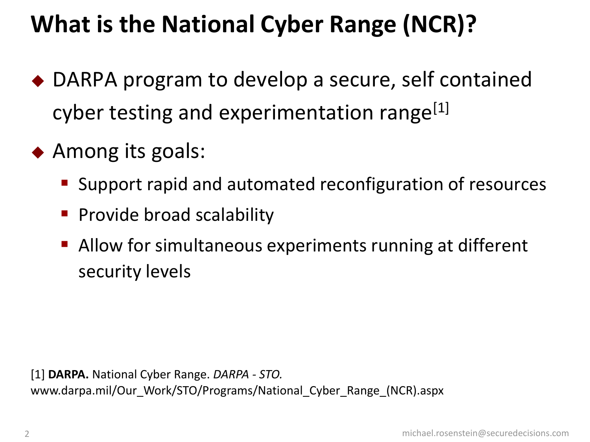# **What is the National Cyber Range (NCR)?**

- ◆ DARPA program to develop a secure, self contained cyber testing and experimentation range<sup>[1]</sup>
- ◆ Among its goals:
	- **Support rapid and automated reconfiguration of resources**
	- **Provide broad scalability**
	- Allow for simultaneous experiments running at different security levels

[1] **DARPA.** National Cyber Range. *DARPA - STO.*  www.darpa.mil/Our\_Work/STO/Programs/National\_Cyber\_Range\_(NCR).aspx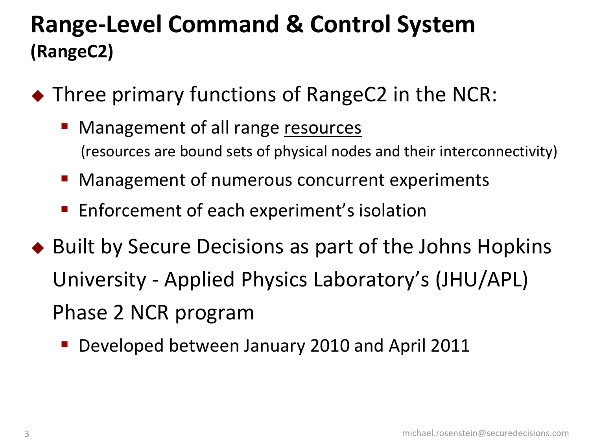### **Range-Level Command & Control System (RangeC2)**

- ◆ Three primary functions of RangeC2 in the NCR:
	- **Management of all range resources** (resources are bound sets of physical nodes and their interconnectivity)
	- Management of numerous concurrent experiments
	- **Enforcement of each experiment's isolation**
- ◆ Built by Secure Decisions as part of the Johns Hopkins University - Applied Physics Laboratory's (JHU/APL) Phase 2 NCR program
	- **Developed between January 2010 and April 2011**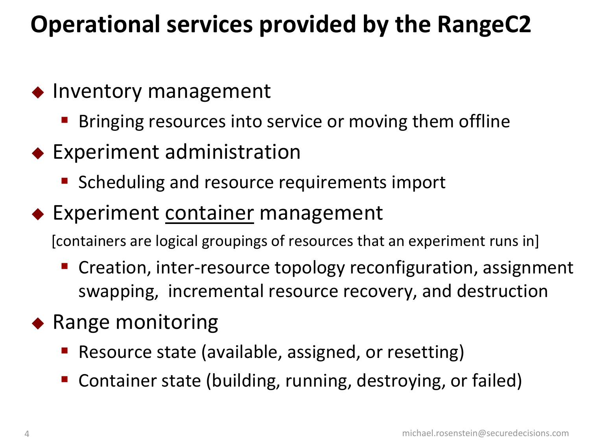# **Operational services provided by the RangeC2**

#### $\bullet$  Inventory management

- Bringing resources into service or moving them offline
- Experiment administration
	- **Scheduling and resource requirements import**
- ◆ Experiment container management

[containers are logical groupings of resources that an experiment runs in]

- Creation, inter-resource topology reconfiguration, assignment swapping, incremental resource recovery, and destruction
- $\bullet$  Range monitoring
	- Resource state (available, assigned, or resetting)
	- Container state (building, running, destroying, or failed)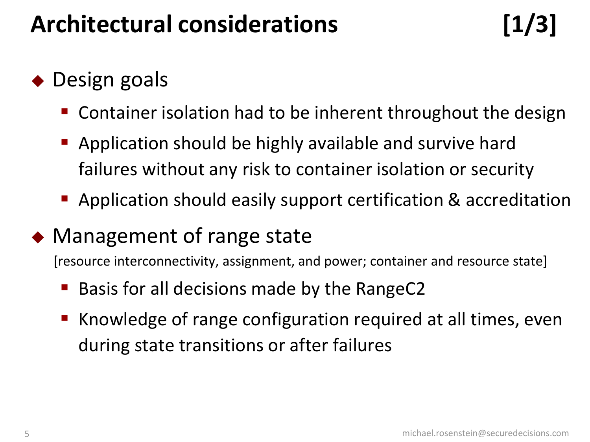# **Architectural considerations [1/3]**

### ◆ Design goals

- Container isolation had to be inherent throughout the design
- Application should be highly available and survive hard failures without any risk to container isolation or security
- Application should easily support certification & accreditation
- ◆ Management of range state

[resource interconnectivity, assignment, and power; container and resource state]

- Basis for all decisions made by the RangeC2
- Knowledge of range configuration required at all times, even during state transitions or after failures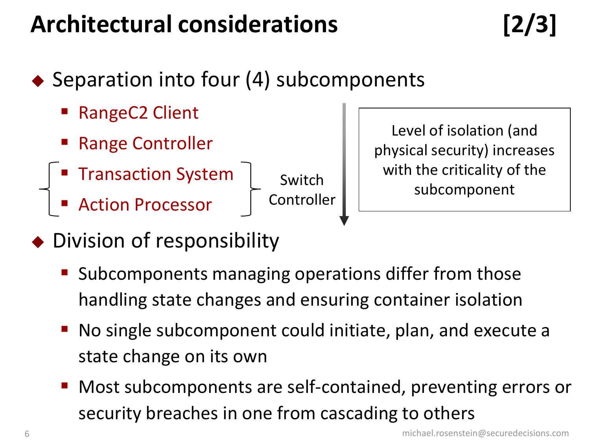# **Architectural considerations [2/3]**

- ◆ Separation into four (4) subcomponents
	- RangeC2 Client
	- Range Controller
	- Transaction System
	- Action Processor

Switch Controller

Level of isolation (and physical security) increases with the criticality of the subcomponent

- ◆ Division of responsibility
	- Subcomponents managing operations differ from those handling state changes and ensuring container isolation
	- No single subcomponent could initiate, plan, and execute a state change on its own
	- Most subcomponents are self-contained, preventing errors or security breaches in one from cascading to others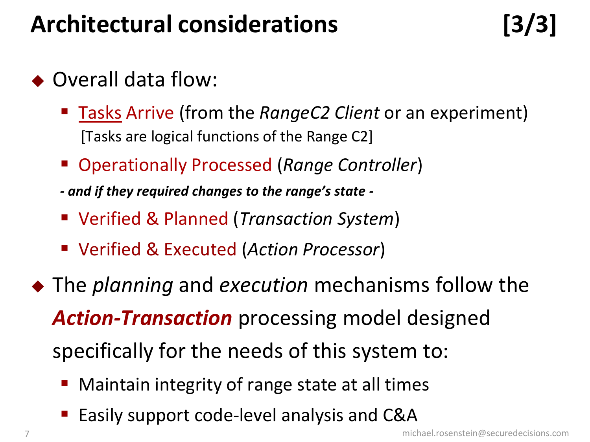# **Architectural considerations [3/3]**

- ◆ Overall data flow:
	- Tasks Arrive (from the *RangeC2 Client* or an experiment) [Tasks are logical functions of the Range C2]
	- Operationally Processed (*Range Controller*)
	- *- and if they required changes to the range's state -*
	- Verified & Planned (*Transaction System*)
	- Verified & Executed (*Action Processor*)
- The *planning* and *execution* mechanisms follow the *Action-Transaction* processing model designed specifically for the needs of this system to:
	- Maintain integrity of range state at all times
	- Easily support code-level analysis and C&A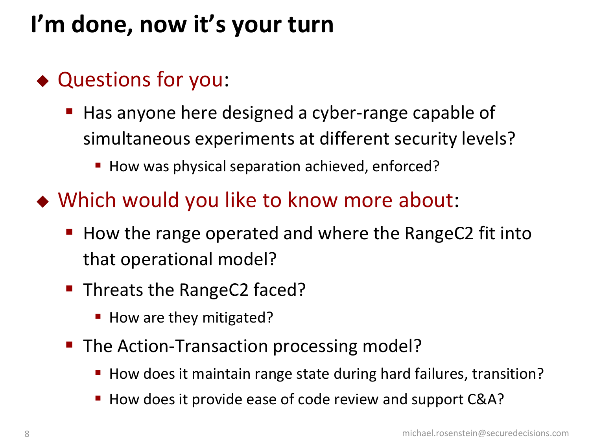# **I'm done, now it's your turn**

### ◆ Questions for you:

- Has anyone here designed a cyber-range capable of simultaneous experiments at different security levels?
	- How was physical separation achieved, enforced?
- Which would you like to know more about:
	- How the range operated and where the RangeC2 fit into that operational model?
	- **Threats the RangeC2 faced?** 
		- How are they mitigated?
	- The Action-Transaction processing model?
		- How does it maintain range state during hard failures, transition?
		- How does it provide ease of code review and support C&A?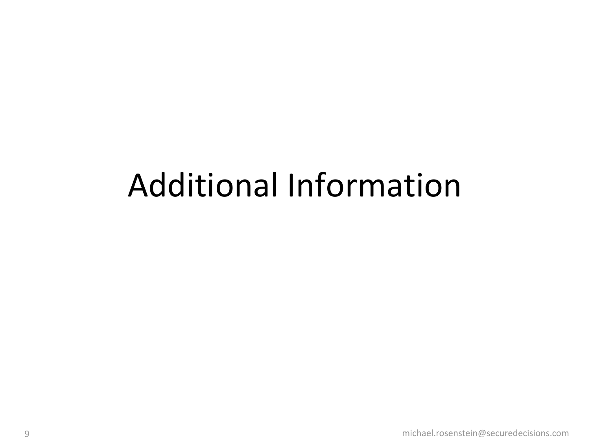# Additional Information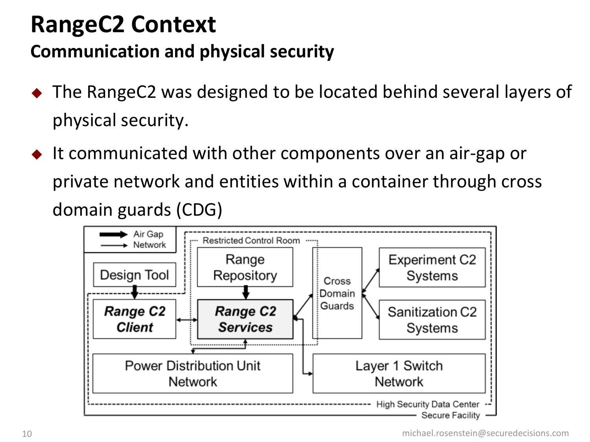### **RangeC2 Context**

#### **Communication and physical security**

- ◆ The RangeC2 was designed to be located behind several layers of physical security.
- It communicated with other components over an air-gap or private network and entities within a container through cross domain guards (CDG)

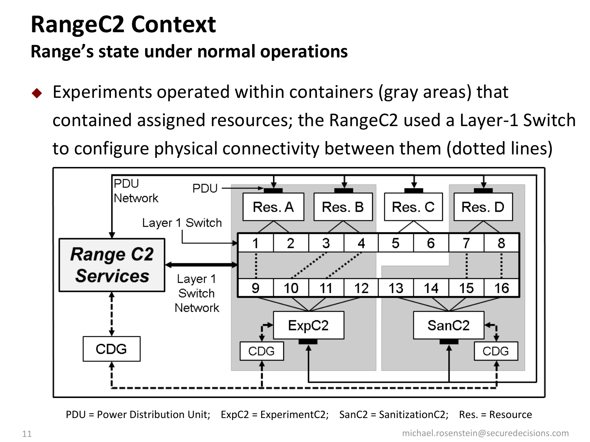### **RangeC2 Context Range's state under normal operations**

 Experiments operated within containers (gray areas) that contained assigned resources; the RangeC2 used a Layer-1 Switch to configure physical connectivity between them (dotted lines)



PDU = Power Distribution Unit; ExpC2 = ExperimentC2; SanC2 = SanitizationC2; Res. = Resource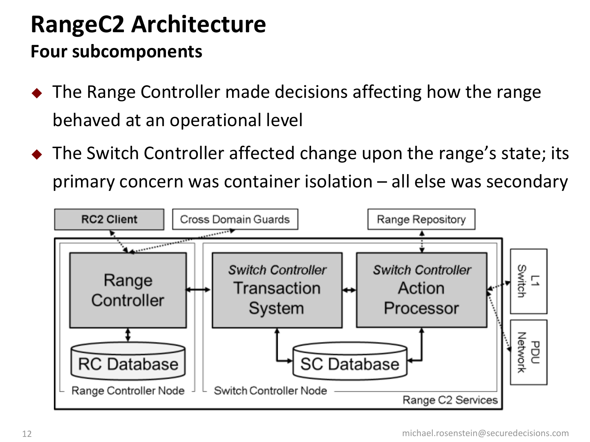### **RangeC2 Architecture Four subcomponents**

- ◆ The Range Controller made decisions affecting how the range behaved at an operational level
- ◆ The Switch Controller affected change upon the range's state; its primary concern was container isolation – all else was secondary

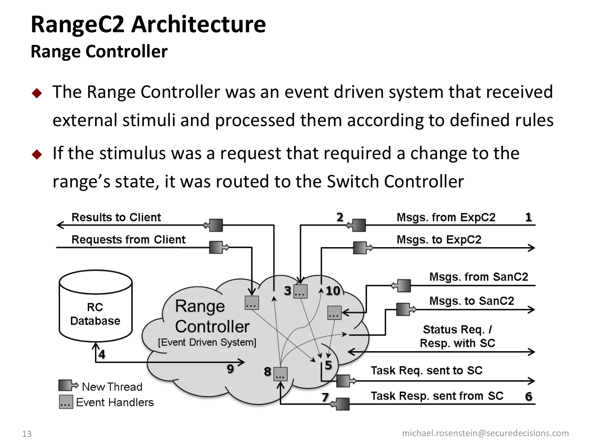### **RangeC2 Architecture Range Controller**

- ◆ The Range Controller was an event driven system that received external stimuli and processed them according to defined rules
- $\bullet$  If the stimulus was a request that required a change to the range's state, it was routed to the Switch Controller

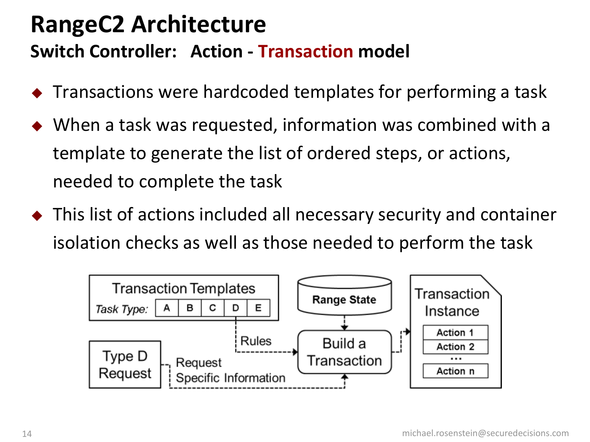### **RangeC2 Architecture Switch Controller: Action - Transaction model**

- Transactions were hardcoded templates for performing a task
- When a task was requested, information was combined with a template to generate the list of ordered steps, or actions, needed to complete the task
- This list of actions included all necessary security and container isolation checks as well as those needed to perform the task

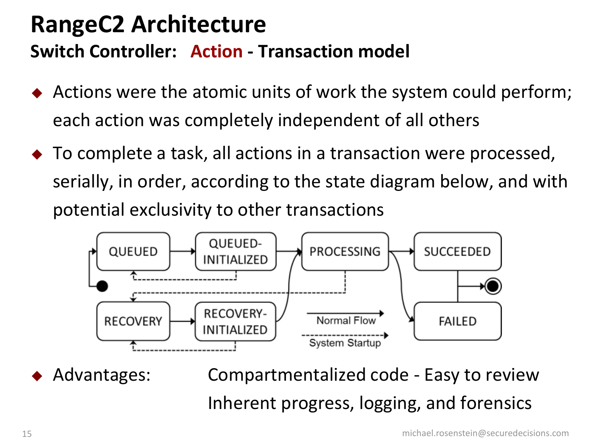### **RangeC2 Architecture Switch Controller: Action - Transaction model**

- ◆ Actions were the atomic units of work the system could perform; each action was completely independent of all others
- ◆ To complete a task, all actions in a transaction were processed, serially, in order, according to the state diagram below, and with potential exclusivity to other transactions



 Advantages: Compartmentalized code - Easy to review Inherent progress, logging, and forensics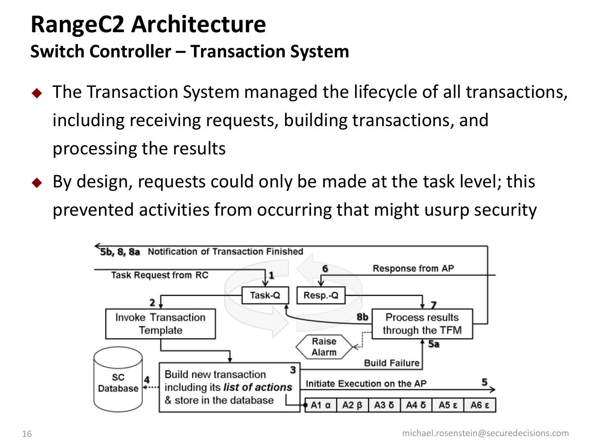### **RangeC2 Architecture Switch Controller – Transaction System**

- ◆ The Transaction System managed the lifecycle of all transactions, including receiving requests, building transactions, and processing the results
- $\bullet$  By design, requests could only be made at the task level; this prevented activities from occurring that might usurp security

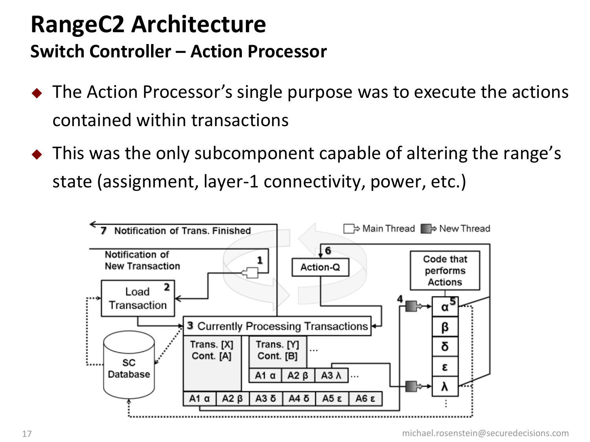### **RangeC2 Architecture Switch Controller – Action Processor**

- ◆ The Action Processor's single purpose was to execute the actions contained within transactions
- $\bullet$  This was the only subcomponent capable of altering the range's state (assignment, layer-1 connectivity, power, etc.)

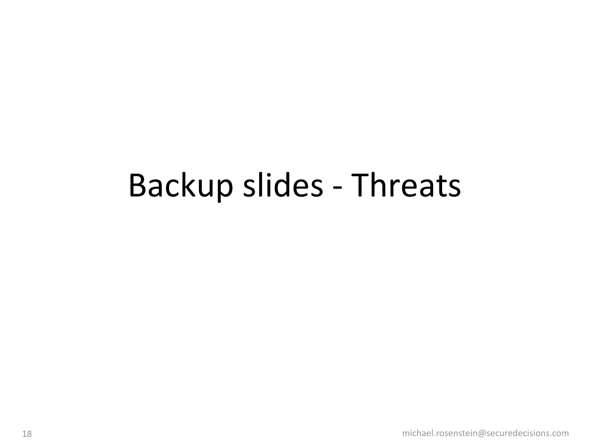# Backup slides - Threats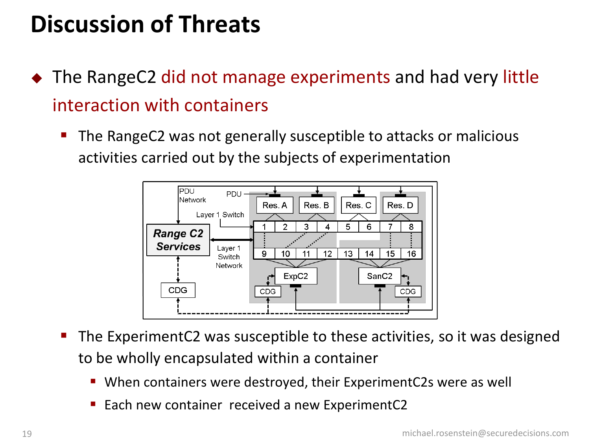# **Discussion of Threats**

- ◆ The RangeC2 did not manage experiments and had very little interaction with containers
	- The RangeC2 was not generally susceptible to attacks or malicious activities carried out by the subjects of experimentation



- The ExperimentC2 was susceptible to these activities, so it was designed to be wholly encapsulated within a container
	- When containers were destroyed, their ExperimentC2s were as well
	- Each new container received a new ExperimentC2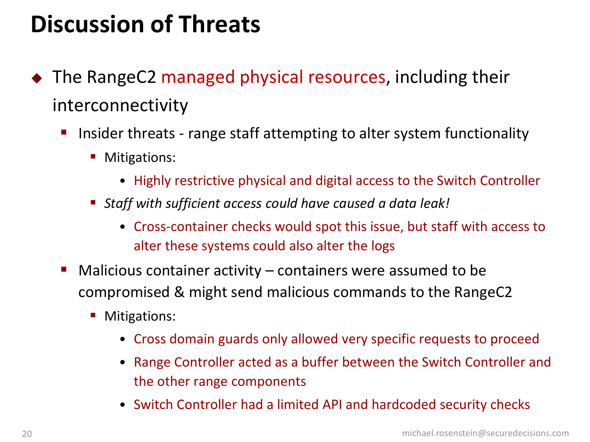# **Discussion of Threats**

- ◆ The RangeC2 managed physical resources, including their interconnectivity
	- Insider threats range staff attempting to alter system functionality
		- **Mitigations:** 
			- Highly restrictive physical and digital access to the Switch Controller
		- *Staff with sufficient access could have caused a data leak!*
			- Cross-container checks would spot this issue, but staff with access to alter these systems could also alter the logs
	- $\blacksquare$  Malicious container activity containers were assumed to be compromised & might send malicious commands to the RangeC2
		- **Mitigations:** 
			- Cross domain guards only allowed very specific requests to proceed
			- Range Controller acted as a buffer between the Switch Controller and the other range components
			- Switch Controller had a limited API and hardcoded security checks